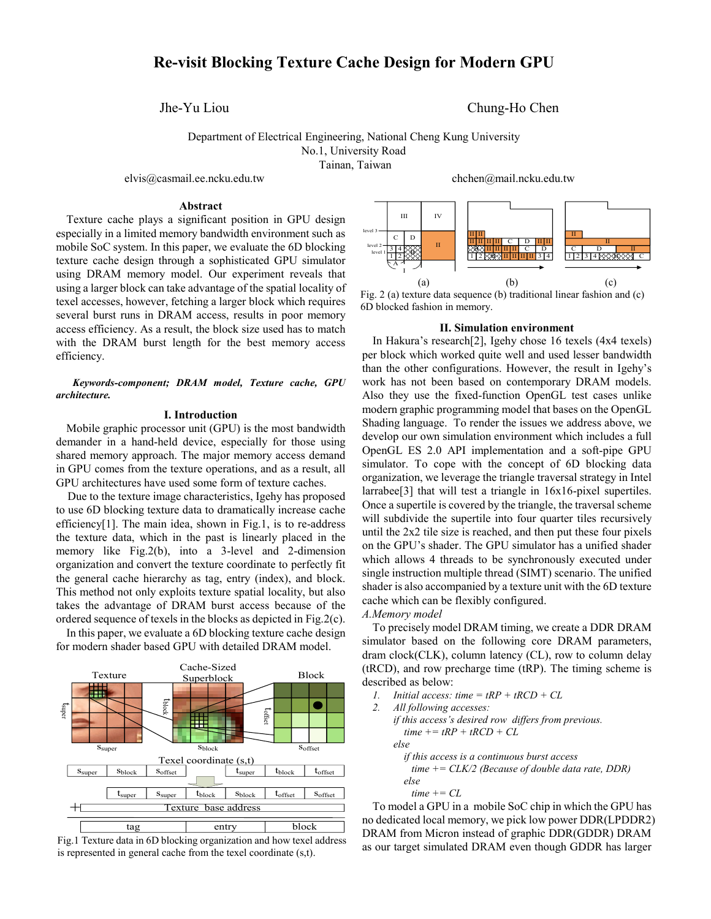# **Re-visit Blocking Texture Cache Design for Modern GPU**

Jhe-Yu Liou Chung-Ho Chen

Department of Electrical Engineering, National Cheng Kung University No.1, University Road Tainan, Taiwan

elvis@casmail.ee.ncku.edu.tw chchen@mail.ncku.edu.tw

## **Abstract**

Texture cache plays a significant position in GPU design especially in a limited memory bandwidth environment such as mobile SoC system. In this paper, we evaluate the 6D blocking texture cache design through a sophisticated GPU simulator using DRAM memory model. Our experiment reveals that using a larger block can take advantage of the spatial locality of texel accesses, however, fetching a larger block which requires several burst runs in DRAM access, results in poor memory access efficiency. As a result, the block size used has to match with the DRAM burst length for the best memory access efficiency.

## *Keywords-component; DRAM model, Texture cache, GPU architecture.*

### **I. Introduction**

Mobile graphic processor unit (GPU) is the most bandwidth demander in a hand-held device, especially for those using shared memory approach. The major memory access demand in GPU comes from the texture operations, and as a result, all GPU architectures have used some form of texture caches.

Due to the texture image characteristics, Igehy has proposed to use 6D blocking texture data to dramatically increase cache efficienc[y\[1\].](#page-1-0) The main idea, shown in Fig.1, is to re-address the texture data, which in the past is linearly placed in the memory like Fig.2(b), into a 3-level and 2-dimension organization and convert the texture coordinate to perfectly fit the general cache hierarchy as tag, entry (index), and block. This method not only exploits texture spatial locality, but also takes the advantage of DRAM burst access because of the ordered sequence of texels in the blocks as depicted in Fig.2(c).

In this paper, we evaluate a 6D blocking texture cache design for modern shader based GPU with detailed DRAM model.



Fig.1 Texture data in 6D blocking organization and how texel address is represented in general cache from the texel coordinate (s,t).

c D 3  $\frac{3}{1}$   $\frac{4}{2}$  $\begin{tabular}{c|c|c|c|c} $m$ & $N$ & $|\mathbf{0}|$ \\ \hline $1$ & $|\mathbf{0}|$ & $\mathbf{0}|$ & $\mathbf{0}|$ \\ \hline $4$ & $283 & $1$ & $\mathbf{0}|$ & $\mathbf{0}|$ \\ \hline $2$ & $283 & $10$ & $\mathbf{0}|$ & $\mathbf{0}|$ \\ \hline \end{tabular}$ ВХЯШШШІ СІ Р 1 2 C D II <sup>3</sup> <sup>4</sup> <sup>B</sup> <sup>C</sup> II II II II II II A  $\begin{array}{c}\n\text{level 1} \\
\text{level 1} \\
\hline\n12 \\
\hline\nA\n\end{array}$ level 3 <u>ин</u><br>ПППП с I в IIII II II II II(a)  $(b)$  (c)

Fig. 2 (a) texture data sequence (b) traditional linear fashion and (c) 6D blocked fashion in memory.

### **II. Simulation environment**

In Hakura's research[2], Igehy chose 16 texels (4x4 texels) per block which worked quite well and used lesser bandwidth than the other configurations. However, the result in Igehy's work has not been based on contemporary DRAM models. Also they use the fixed-function OpenGL test cases unlike modern graphic programming model that bases on the OpenGL Shading language. To render the issues we address above, we develop our own simulation environment which includes a full OpenGL ES 2.0 API implementation and a soft-pipe GPU simulator. To cope with the concept of 6D blocking data organization, we leverage the triangle traversal strategy in Intel larrabe[e\[3\]](#page-1-1) that will test a triangle in 16x16-pixel supertiles. Once a supertile is covered by the triangle, the traversal scheme will subdivide the supertile into four quarter tiles recursively until the 2x2 tile size is reached, and then put these four pixels on the GPU's shader. The GPU simulator has a unified shader which allows 4 threads to be synchronously executed under single instruction multiple thread (SIMT) scenario. The unified shader is also accompanied by a texture unit with the 6D texture cache which can be flexibly configured.

## *A.Memory model*

To precisely model DRAM timing, we create a DDR DRAM simulator based on the following core DRAM parameters, dram clock(CLK), column latency (CL), row to column delay (tRCD), and row precharge time (tRP). The timing scheme is described as below:

- *1. Initial access: time = tRP + tRCD + CL*
- *2. All following accesses: if this access's desired row differs from previous.*  $time += tRP + tRCD + CL$ *else if this access is a continuous burst access time += CLK/2 (Because of double data rate, DDR) else*
	- *time += CL*

To model a GPU in a mobile SoC chip in which the GPU has no dedicated local memory, we pick low power DDR(LPDDR2) DRAM from Micron instead of graphic DDR(GDDR) DRAM as our target simulated DRAM even though GDDR has larger